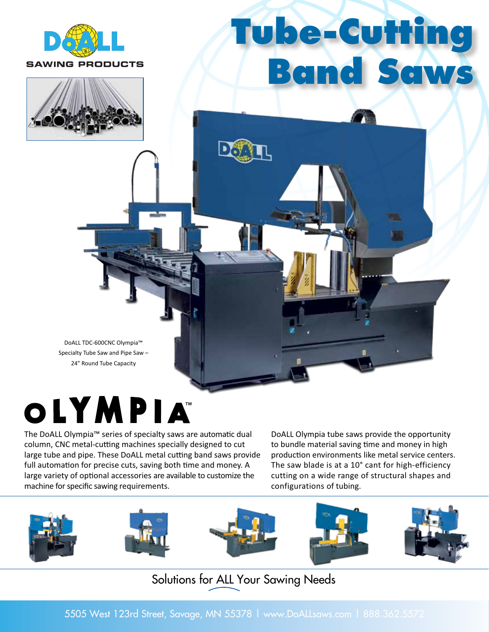

# **Tube-Cutting Band Saws**



DoALL TDC-600CNC Olympia™ Specialty Tube Saw and Pipe Saw – 24" Round Tube Capacity

### OLYMPIA

The DoALL Olympia™ series of specialty saws are automatic dual column, CNC metal-cutting machines specially designed to cut large tube and pipe. These DoALL metal cutting band saws provide full automation for precise cuts, saving both time and money. A large variety of optional accessories are available to customize the machine for specific sawing requirements.

DoALL Olympia tube saws provide the opportunity to bundle material saving time and money in high production environments like metal service centers. The saw blade is at a 10° cant for high-efficiency cutting on a wide range of structural shapes and configurations of tubing.



### Solutions for ALL Your Sawing Needs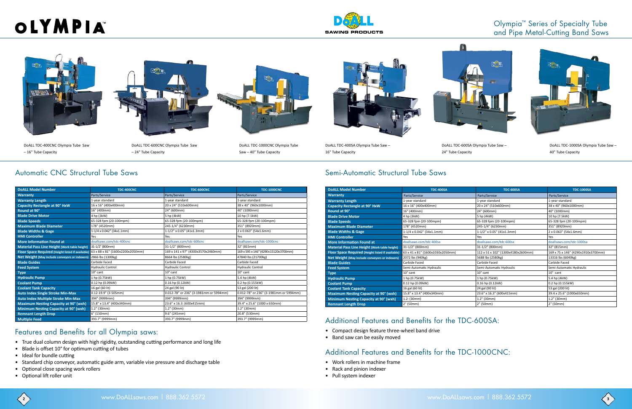| <b>DoALL Model Number</b>                            | <b>TDC-400CNC</b>                | <b>TDC-600CNC</b>                      | <b>TDC-1000CNC</b>                     |
|------------------------------------------------------|----------------------------------|----------------------------------------|----------------------------------------|
| <b>Warranty</b>                                      | Parts/Service                    | Parts/Service                          | Parts/Service                          |
| <b>Warranty Length</b>                               | 1-year standard                  | 1-year standard                        | 1-year standard                        |
| <b>Capacity Rectangle at 90° HxW</b>                 | 16 x 16" (400x400mm)             | 20 x 24" (510x600mm)                   | 38 x 40" (960x1000mm)                  |
| Round at 90°                                         | 16" (400mm)                      | 24" (600mm)                            | 40" (1000mm)                           |
| <b>Blade Drive Motor</b>                             | 4 hp (3kW)                       | 5 hp (4kW)                             | 10 hp (7.5kW)                          |
| <b>Blade Speeds</b>                                  | 65-328 fpm (20-100mpm)           | 65-328 fpm (20-100mpm)                 | 65-328 fpm (20-100mpm)                 |
| <b>Maximum Blade Diameter</b>                        | 178" (4520mm)                    | 245-1/4" (6230mm)                      | 351" (8920mm)                          |
| <b>Blade Widths &amp; Gage</b>                       | 1-1/4 x 0.042" (34x1.1mm)        | 1-1/2" x 0.05" (41x1.3mm)              | 2 x 0.063" (54x1.6mm)                  |
| <b>HMI Controller</b>                                | Yes                              | Yes                                    | Yes                                    |
| <b>More Information Found at</b>                     | doallsaws.com/tdc-400cnc         | doallsaws.com/tdc-600cnc               | doallsaws.com/tdc-1000cnc              |
| <b>Material Pass Line Height (Work table height)</b> | 31-1/2" (800mm)                  | 31-1/2" (800mm)                        | 32" (815mm)                            |
| Floor Space Required (Height listed if available)    | 63 x 88 x 81" (1600x2200x2050mm) | 169 x 141 x 97" (4300x3570x2460mm)     | 169 x 595 x 146" (4290x15120x3700mm)   |
| Net Weight (May include conveyors or indexers)       | 2866 lbs (1300kg)                | 8664 lbs (2580kg)                      | 47840 lbs (21700kg)                    |
| <b>Blade Guides</b>                                  | Carbide Faced                    | Carbide Faced                          | Carbide Faced                          |
| <b>Feed System</b>                                   | <b>Hydraulic Control</b>         | <b>Hydraulic Control</b>               | <b>Hydraulic Control</b>               |
| <b>Type</b>                                          | $10^{\circ}$ cant                | $10^{\circ}$ cant                      | $10^{\circ}$ cant                      |
| <b>Hydraulic Pump</b>                                | 1 hp (0.75kW)                    | 1 hp (0.75kW)                          | 5.4 hp (4kW)                           |
| <b>Coolant Pump</b>                                  | 0.12 hp (0.09kW)                 | 0.16 hp (0.12kW)                       | 0.2 hp (0.155kW)                       |
| <b>Coolant Tank Capacity</b>                         | 16 gal (60 lit)                  | 24 gal (90 lit)                        | 53 gal (200 lit)                       |
| <b>Auto Index Single Stroke Min-Max</b>              | $0.12 - 19.9$ " (3-505mm)        | 0.012-78" or 236" (3-1981mm or 5994mm) | 0.012-78" or 236" (3-1981mm or 5994mm) |
| Auto Index Multiple Stroke Min-Max                   | 394" (9999mm)                    | 394" (9999mm)                          | 394" (9999mm)                          |
| <b>Maximum Nesting Capacity at 90° (wxh)</b>         | 15.8" x 13.4" (400x340mm)        | 23.6" x 16.3: (600x415mm)              | 39.4" x 25.6" (1000 x 650mm)           |
| Minimum Nesting Capacity at 90° (wxh)                | 1.2" (30mm)                      | $1.2"$ (30mm)                          | 1.2" (30mm)                            |
| <b>Remnant Length Drop</b>                           | 6" (150mm)                       | 9.6" (245mm)                           | 20.8" (530mm)                          |
| <b>Multiple Feed</b>                                 | 393.7" (9999mm)                  | 393.7" (9999mm)                        | 393.7" (9999mm)                        |

| <b>DoALL Model Number</b>                            | <b>TDC-400SA</b>                 | <b>TDC-600SA</b>                   | <b>TDC-1000SA</b>                  |
|------------------------------------------------------|----------------------------------|------------------------------------|------------------------------------|
| <b>Warranty</b>                                      | Parts/Service                    | Parts/Service                      | Parts/Service                      |
| <b>Warranty Length</b>                               | 1-year standard                  | 1-year standard                    | 1-year standard                    |
| <b>Capacity Rectangle at 90° HxW</b>                 | 16 x 16" (400x400mm)             | 20 x 24" (510x600mm)               | 38 x 40" (960x1000mm)              |
| Round at 90°                                         | 16" (400mm)                      | 24" (600mm)                        | 40" (1000mm)                       |
| <b>Blade Drive Motor</b>                             | 4 hp (3kW)                       | 5 hp (4kW)                         | 10 hp (7.5kW)                      |
| <b>Blade Speeds</b>                                  | 65-328 fpm (20-100mpm)           | 65-328 fpm (20-100mpm)             | 65-328 fpm (20-100mpm)             |
| <b>Maximum Blade Diameter</b>                        | 178" (4520mm)                    | 245-1/4" (6230mm)                  | 351" (8920mm)                      |
| <b>Blade Widths &amp; Gage</b>                       | 1-1/4 x 0.042" (34x1.1mm)        | 1-1/2" x 0.05" (41x1.3mm)          | 2 x 0.063" (54x1.6mm)              |
| <b>HMI Controller</b>                                | Yes                              | Yes                                | Yes                                |
| <b>More Information Found at</b>                     | doallsaws.com/tdc-400sa          | doallsaws.com/tdc-600sa            | doallsaws.com/tdc-1000sa           |
| <b>Material Pass Line Height (Work table height)</b> | 31-1/2" (800mm)                  | 31-1/2" (800mm)                    | 32" (815mm)                        |
| Floor Space Required (Height listed if available)    | 63 x 41 x 81" (1600x1030x2050mm) | 112 x 51 x 102" (1300x4180x2600mm) | 169 x 75 x 146" (4290x1910x3700mm) |
| Net Weight (May include conveyors or indexers)       | 2072 lbs (940kg)                 | 5688 lbs (2580kg)                  | 13316 lbs (6040kg)                 |
| <b>Blade Guides</b>                                  | Carbide Faced                    | Carbide Faced                      | Carbide Faced                      |
| <b>Feed System</b>                                   | Semi-Automatic Hydraulic         | Semi-Automatic Hydraulic           | Semi-Automatic Hydraulic           |
| <b>Type</b>                                          | $10^{\circ}$ cant                | $10^{\circ}$ cant                  | $10^{\circ}$ cant                  |
| <b>Hydraulic Pump</b>                                | 1 hp (0.75kW)                    | 1 hp (0.75kW)                      | 5.4 hp (4kW)                       |
| <b>Coolant Pump</b>                                  | 0.12 hp (0.09kW)                 | 0.16 hp (0.12kW)                   | 0.2 hp (0.155kW)                   |
| <b>Coolant Tank Capacity</b>                         | 16 gal (60 lit)                  | 24 gal (90 lit)                    | 53 gal (200 lit)                   |
| <b>Maximum Nesting Capacity at 90° (wxh)</b>         | 15.8" x 13.4" (400x340mm)        | 23.6" x 16.3" (600x415mm)          | 39.4 x 25.6" (1000x650mm)          |
| Minimum Nesting Capacity at 90° (wxh)                | 1.2: (30mm)                      | $1.2"$ (30mm)                      | $1.2"$ (30mm)                      |
| <b>Remnant Length Drop</b>                           | 2" (50mm)                        | 2" (50mm)                          | 2" (50mm)                          |

# OLYMPIA









DoALL TDC-600CNC Olympia Tube Saw – 24" Tube Capacity



DoALL TDC-1000CNC Olympia Tube Saw – 40" Tube Capacity





DoALL TDC-400SA Olympia Tube Saw – 16" Tube Capacity

DoALL TDC-600SA Olympia Tube Saw –

24" Tube Capacity

DoALL TDC-1000SA Olympia Tube Saw – 40" Tube Capacity

#### Olympia™ Series of Specialty Tube and Pipe Metal-Cutting Band Saws



#### Features and Benefits for all Olympia saws:

- True dual column design with high rigidity, outstanding cutting performance and long life
- Blade is offset 10° for optimum cutting of tubes
- Ideal for bundle cutting
- Standard chip conveyor, automatic guide arm, variable vise pressure and discharge table
- Optional close spacing work rollers
- Optional lift roller unit

### Automatic CNC Structural Tube Saws **Semi-Automatic Structural Tube Saws** Semi-Automatic Structural Tube Saws

#### Additional Features and Benefits for the TDC-600SA:

- Compact design feature three-wheel band drive
- Band saw can be easily moved

### Additional Features and Benefits for the TDC-1000CNC:

- Work rollers in machine frame
- Rack and pinion indexer
- Pull system indexer